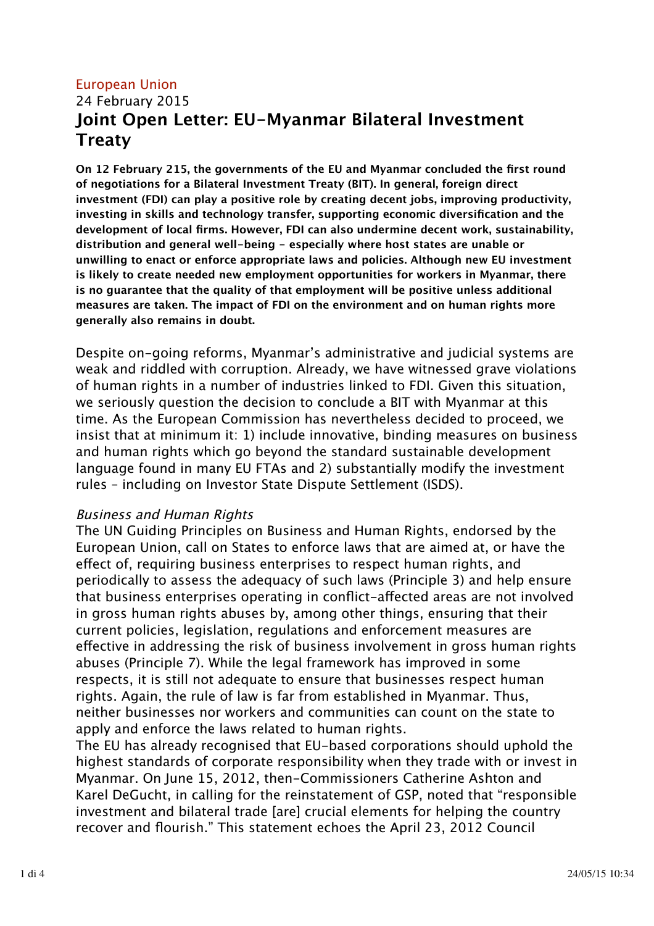## European Union 24 February 2015 **Joint Open Letter: EU-Myanmar Bilateral Investment Treaty**

**On 12 February 215, the governments of the EU and Myanmar concluded the first round of negotiations for a Bilateral Investment Treaty (BIT). In general, foreign direct investment (FDI) can play a positive role by creating decent jobs, improving productivity, investing in skills and technology transfer, supporting economic diversification and the development of local firms. However, FDI can also undermine decent work, sustainability, distribution and general well-being - especially where host states are unable or unwilling to enact or enforce appropriate laws and policies. Although new EU investment is likely to create needed new employment opportunities for workers in Myanmar, there is no guarantee that the quality of that employment will be positive unless additional measures are taken. The impact of FDI on the environment and on human rights more generally also remains in doubt.**

Despite on-going reforms, Myanmar's administrative and judicial systems are weak and riddled with corruption. Already, we have witnessed grave violations of human rights in a number of industries linked to FDI. Given this situation, we seriously question the decision to conclude a BIT with Myanmar at this time. As the European Commission has nevertheless decided to proceed, we insist that at minimum it: 1) include innovative, binding measures on business and human rights which go beyond the standard sustainable development language found in many EU FTAs and 2) substantially modify the investment rules – including on Investor State Dispute Settlement (ISDS).

#### Business and Human Rights

The UN Guiding Principles on Business and Human Rights, endorsed by the European Union, call on States to enforce laws that are aimed at, or have the efect of, requiring business enterprises to respect human rights, and periodically to assess the adequacy of such laws (Principle 3) and help ensure that business enterprises operating in conflict-afected areas are not involved in gross human rights abuses by, among other things, ensuring that their current policies, legislation, regulations and enforcement measures are efective in addressing the risk of business involvement in gross human rights abuses (Principle 7). While the legal framework has improved in some respects, it is still not adequate to ensure that businesses respect human rights. Again, the rule of law is far from established in Myanmar. Thus, neither businesses nor workers and communities can count on the state to apply and enforce the laws related to human rights.

The EU has already recognised that EU-based corporations should uphold the highest standards of corporate responsibility when they trade with or invest in Myanmar. On June 15, 2012, then-Commissioners Catherine Ashton and Karel DeGucht, in calling for the reinstatement of GSP, noted that "responsible investment and bilateral trade [are] crucial elements for helping the country recover and flourish." This statement echoes the April 23, 2012 Council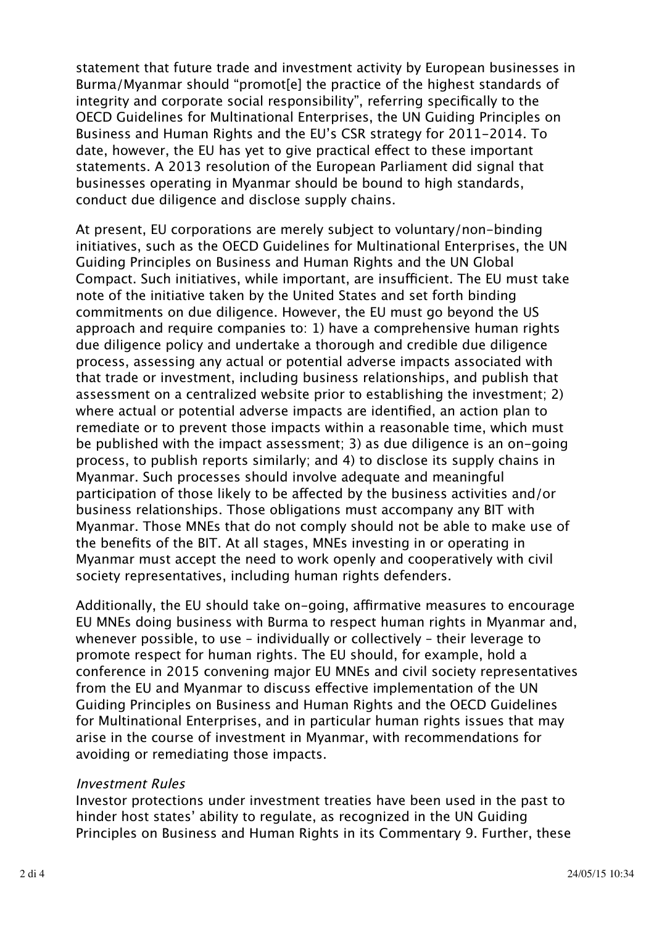statement that future trade and investment activity by European businesses in Burma/Myanmar should "promot[e] the practice of the highest standards of integrity and corporate social responsibility", referring specifically to the OECD Guidelines for Multinational Enterprises, the UN Guiding Principles on Business and Human Rights and the EU's CSR strategy for 2011-2014. To date, however, the EU has yet to give practical efect to these important statements. A 2013 resolution of the European Parliament did signal that businesses operating in Myanmar should be bound to high standards, conduct due diligence and disclose supply chains.

At present, EU corporations are merely subject to voluntary/non-binding initiatives, such as the OECD Guidelines for Multinational Enterprises, the UN Guiding Principles on Business and Human Rights and the UN Global Compact. Such initiatives, while important, are insufficient. The EU must take note of the initiative taken by the United States and set forth binding commitments on due diligence. However, the EU must go beyond the US approach and require companies to: 1) have a comprehensive human rights due diligence policy and undertake a thorough and credible due diligence process, assessing any actual or potential adverse impacts associated with that trade or investment, including business relationships, and publish that assessment on a centralized website prior to establishing the investment; 2) where actual or potential adverse impacts are identified, an action plan to remediate or to prevent those impacts within a reasonable time, which must be published with the impact assessment; 3) as due diligence is an on-going process, to publish reports similarly; and 4) to disclose its supply chains in Myanmar. Such processes should involve adequate and meaningful participation of those likely to be afected by the business activities and/or business relationships. Those obligations must accompany any BIT with Myanmar. Those MNEs that do not comply should not be able to make use of the benefits of the BIT. At all stages, MNEs investing in or operating in Myanmar must accept the need to work openly and cooperatively with civil society representatives, including human rights defenders.

Additionally, the EU should take on-going, affirmative measures to encourage EU MNEs doing business with Burma to respect human rights in Myanmar and, whenever possible, to use – individually or collectively – their leverage to promote respect for human rights. The EU should, for example, hold a conference in 2015 convening major EU MNEs and civil society representatives from the EU and Myanmar to discuss efective implementation of the UN Guiding Principles on Business and Human Rights and the OECD Guidelines for Multinational Enterprises, and in particular human rights issues that may arise in the course of investment in Myanmar, with recommendations for avoiding or remediating those impacts.

#### Investment Rules

Investor protections under investment treaties have been used in the past to hinder host states' ability to regulate, as recognized in the UN Guiding Principles on Business and Human Rights in its Commentary 9. Further, these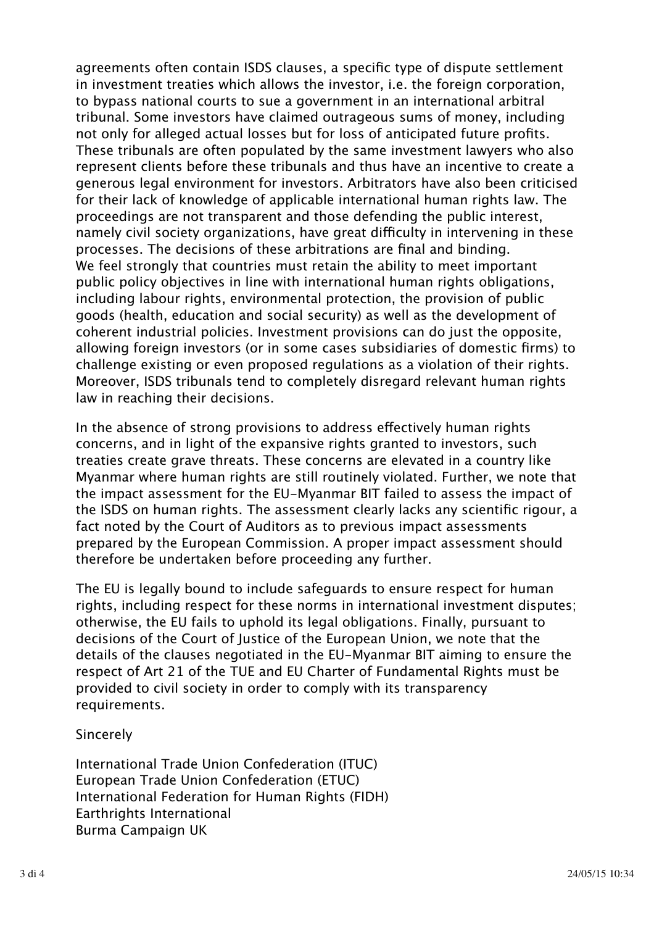agreements often contain ISDS clauses, a specific type of dispute settlement in investment treaties which allows the investor, i.e. the foreign corporation, to bypass national courts to sue a government in an international arbitral tribunal. Some investors have claimed outrageous sums of money, including not only for alleged actual losses but for loss of anticipated future profits. These tribunals are often populated by the same investment lawyers who also represent clients before these tribunals and thus have an incentive to create a generous legal environment for investors. Arbitrators have also been criticised for their lack of knowledge of applicable international human rights law. The proceedings are not transparent and those defending the public interest, namely civil society organizations, have great difficulty in intervening in these processes. The decisions of these arbitrations are final and binding. We feel strongly that countries must retain the ability to meet important public policy objectives in line with international human rights obligations, including labour rights, environmental protection, the provision of public goods (health, education and social security) as well as the development of coherent industrial policies. Investment provisions can do just the opposite, allowing foreign investors (or in some cases subsidiaries of domestic firms) to challenge existing or even proposed regulations as a violation of their rights. Moreover, ISDS tribunals tend to completely disregard relevant human rights law in reaching their decisions.

In the absence of strong provisions to address efectively human rights concerns, and in light of the expansive rights granted to investors, such treaties create grave threats. These concerns are elevated in a country like Myanmar where human rights are still routinely violated. Further, we note that the impact assessment for the EU-Myanmar BIT failed to assess the impact of the ISDS on human rights. The assessment clearly lacks any scientific rigour, a fact noted by the Court of Auditors as to previous impact assessments prepared by the European Commission. A proper impact assessment should therefore be undertaken before proceeding any further.

The EU is legally bound to include safeguards to ensure respect for human rights, including respect for these norms in international investment disputes; otherwise, the EU fails to uphold its legal obligations. Finally, pursuant to decisions of the Court of Justice of the European Union, we note that the details of the clauses negotiated in the EU-Myanmar BIT aiming to ensure the respect of Art 21 of the TUE and EU Charter of Fundamental Rights must be provided to civil society in order to comply with its transparency requirements.

#### Sincerely

International Trade Union Confederation (ITUC) European Trade Union Confederation (ETUC) International Federation for Human Rights (FIDH) Earthrights International Burma Campaign UK